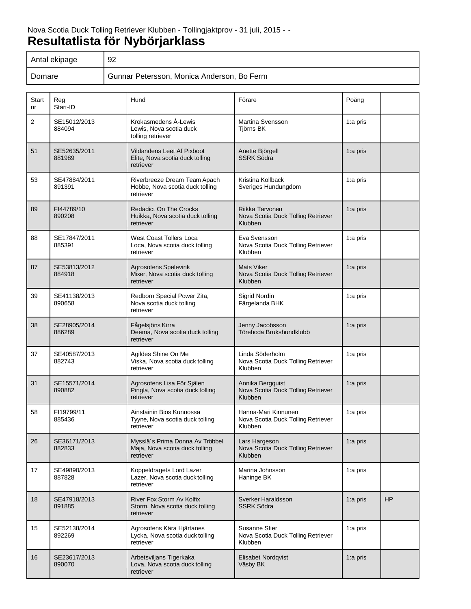| Antal ekipage | 92                                         |
|---------------|--------------------------------------------|
| Domare        | Gunnar Petersson, Monica Anderson, Bo Ferm |

| Start<br>nr | Reg<br>Start-ID        | Hund                                                                              | Förare                                                               | Poäng       |           |
|-------------|------------------------|-----------------------------------------------------------------------------------|----------------------------------------------------------------------|-------------|-----------|
| 2           | SE15012/2013<br>884094 | Krokasmedens Å-Lewis<br>Lewis, Nova scotia duck<br>tolling retriever              | <b>Martina Svensson</b><br>Tjörns BK                                 | 1:a pris    |           |
| 51          | SE52635/2011<br>881989 | <b>Vildandens Leet Af Pixboot</b><br>Elite, Nova scotia duck tolling<br>retriever | Anette Björgell<br><b>SSRK Södra</b>                                 | 1: $a$ pris |           |
| 53          | SE47884/2011<br>891391 | Riverbreeze Dream Team Apach<br>Hobbe, Nova scotia duck tolling<br>retriever      | Kristina Kollback<br>Sveriges Hundungdom                             | 1:a pris    |           |
| 89          | FI44789/10<br>890208   | <b>Redadict On The Crocks</b><br>Huikka, Nova scotia duck tolling<br>retriever    | Riikka Tarvonen<br>Nova Scotia Duck Tolling Retriever<br>Klubben     | $1:a$ pris  |           |
| 88          | SE17847/2011<br>885391 | <b>West Coast Tollers Loca</b><br>Loca, Nova scotia duck tolling<br>retriever     | Eva Svensson<br>Nova Scotia Duck Tolling Retriever<br>Klubben        | 1:a pris    |           |
| 87          | SE53813/2012<br>884918 | Agrosofens Spelevink<br>Mixer, Nova scotia duck tolling<br>retriever              | <b>Mats Viker</b><br>Nova Scotia Duck Tolling Retriever<br>Klubben   | 1:a pris    |           |
| 39          | SE41138/2013<br>890658 | Redborn Special Power Zita,<br>Nova scotia duck tolling<br>retriever              | Sigrid Nordin<br>Färgelanda BHK                                      | 1:a pris    |           |
| 38          | SE28905/2014<br>886289 | Fågelsjöns Kirra<br>Deema, Nova scotia duck tolling<br>retriever                  | Jenny Jacobsson<br>Töreboda Brukshundklubb                           | 1: $a$ pris |           |
| 37          | SE40587/2013<br>882743 | Agildes Shine On Me<br>Viska, Nova scotia duck tolling<br>retriever               | Linda Söderholm<br>Nova Scotia Duck Tolling Retriever<br>Klubben     | 1:a pris    |           |
| 31          | SE15571/2014<br>890882 | Agrosofens Lisa För Själen<br>Pingla, Nova scotia duck tolling<br>retriever       | Annika Bergquist<br>Nova Scotia Duck Tolling Retriever<br>Klubben    | 1:a pris    |           |
| 58          | FI19799/11<br>885436   | Ainstainin Bios Kunnossa<br>Tyyne, Nova scotia duck tolling<br>retriever          | Hanna-Mari Kinnunen<br>Nova Scotia Duck Tolling Retriever<br>Klubben | 1:a pris    |           |
| 26          | SE36171/2013<br>882833 | Mysslä's Prima Donna Av Tröbbel<br>Maja, Nova scotia duck tolling<br>retriever    | Lars Hargeson<br>Nova Scotia Duck Tolling Retriever<br>Klubben       | 1:a pris    |           |
| 17          | SE49890/2013<br>887828 | Koppeldragets Lord Lazer<br>Lazer, Nova scotia duck tolling<br>retriever          | Marina Johnsson<br>Haninge BK                                        | 1:a pris    |           |
| 18          | SE47918/2013<br>891885 | River Fox Storm Av Kolfix<br>Storm, Nova scotia duck tolling<br>retriever         | Sverker Haraldsson<br><b>SSRK Södra</b>                              | 1:a pris    | <b>HP</b> |
| 15          | SE52138/2014<br>892269 | Agrosofens Kära Hjärtanes<br>Lycka, Nova scotia duck tolling<br>retriever         | Susanne Stier<br>Nova Scotia Duck Tolling Retriever<br>Klubben       | 1:a pris    |           |
| 16          | SE23617/2013<br>890070 | Arbetsviljans Tigerkaka<br>Lova, Nova scotia duck tolling<br>retriever            | Elisabet Nordqvist<br>Väsby BK                                       | 1: $a$ pris |           |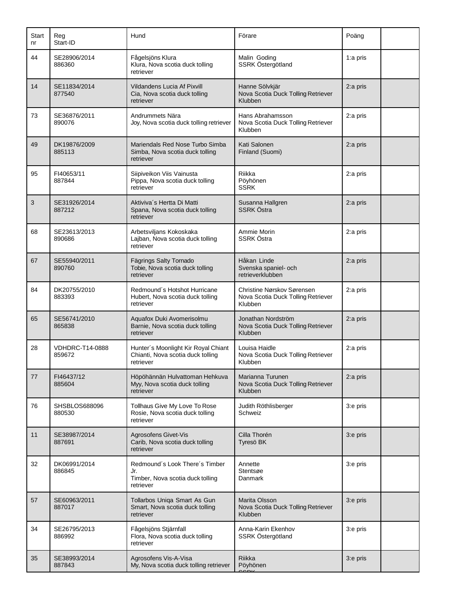| Start<br>nr | Reg<br>Start-ID                  | Hund                                                                                   | Förare                                                                      | Poäng    |
|-------------|----------------------------------|----------------------------------------------------------------------------------------|-----------------------------------------------------------------------------|----------|
| 44          | SE28906/2014<br>886360           | Fågelsjöns Klura<br>Klura, Nova scotia duck tolling<br>retriever                       | Malin Goding<br>SSRK Östergötland                                           | 1:a pris |
| 14          | SE11834/2014<br>877540           | <b>Vildandens Lucia Af Pixvill</b><br>Cia, Nova scotia duck tolling<br>retriever       | Hanne Sölvkjär<br>Nova Scotia Duck Tolling Retriever<br>Klubben             | 2:a pris |
| 73          | SE36876/2011<br>890076           | Andrummets Nära<br>Joy, Nova scotia duck tolling retriever                             | Hans Abrahamsson<br>Nova Scotia Duck Tolling Retriever<br>Klubben           | 2:a pris |
| 49          | DK19876/2009<br>885113           | Mariendals Red Nose Turbo Simba<br>Simba, Nova scotia duck tolling<br>retriever        | Kati Salonen<br>Finland (Suomi)                                             | 2:a pris |
| 95          | FI40653/11<br>887844             | Siipiveikon Viis Vainusta<br>Pippa, Nova scotia duck tolling<br>retriever              | Riikka<br>Pöyhönen<br><b>SSRK</b>                                           | 2:a pris |
| 3           | SE31926/2014<br>887212           | Aktiviva's Hertta Di Matti<br>Spana, Nova scotia duck tolling<br>retriever             | Susanna Hallgren<br>SSRK Östra                                              | 2:a pris |
| 68          | SE23613/2013<br>890686           | Arbetsviljans Kokoskaka<br>Lajban, Nova scotia duck tolling<br>retriever               | Ammie Morin<br>SSRK Östra                                                   | 2:a pris |
| 67          | SE55940/2011<br>890760           | Fägrings Salty Tornado<br>Tobie, Nova scotia duck tolling<br>retriever                 | Håkan Linde<br>Svenska spaniel- och<br>retrieverklubben                     | 2:a pris |
| 84          | DK20755/2010<br>883393           | Redmound's Hotshot Hurricane<br>Hubert, Nova scotia duck tolling<br>retriever          | Christine Nørskov Sørensen<br>Nova Scotia Duck Tolling Retriever<br>Klubben | 2:a pris |
| 65          | SE56741/2010<br>865838           | Aquafox Duki Avomerisolmu<br>Barnie, Nova scotia duck tolling<br>retriever             | Jonathan Nordström<br>Nova Scotia Duck Tolling Retriever<br>Klubben         | 2:a pris |
| 28          | <b>VDHDRC-T14-0888</b><br>859672 | Hunter's Moonlight Kir Royal Chiant<br>Chianti, Nova scotia duck tolling<br>retriever  | Louisa Haidle<br>Nova Scotia Duck Tolling Retriever<br>Klubben              | 2:a pris |
| 77          | FI46437/12<br>885604             | Höpöhännän Hulvattoman Hehkuva<br>Myy, Nova scotia duck tolling<br>retriever           | Marianna Turunen<br>Nova Scotia Duck Tolling Retriever<br>Klubben           | 2:a pris |
| 76          | SHSBLOS688096<br>880530          | Tollhaus Give My Love To Rose<br>Rosie, Nova scotia duck tolling<br>retriever          | Judith Röthlisberger<br>Schweiz                                             | 3:e pris |
| 11          | SE38987/2014<br>887691           | Agrosofens Givet-Vis<br>Carib, Nova scotia duck tolling<br>retriever                   | Cilla Thorén<br>Tyresö BK                                                   | 3:e pris |
| 32          | DK06991/2014<br>886845           | Redmound's Look There's Timber<br>Jr.<br>Timber, Nova scotia duck tolling<br>retriever | Annette<br>Stentsøe<br>Danmark                                              | 3:e pris |
| 57          | SE60963/2011<br>887017           | Tollarbos Uniqa Smart As Gun<br>Smart, Nova scotia duck tolling<br>retriever           | Marita Olsson<br>Nova Scotia Duck Tolling Retriever<br>Klubben              | 3:e pris |
| 34          | SE26795/2013<br>886992           | Fågelsjöns Stjärnfall<br>Flora, Nova scotia duck tolling<br>retriever                  | Anna-Karin Ekenhov<br>SSRK Östergötland                                     | 3:e pris |
| 35          | SE38993/2014<br>887843           | Agrosofens Vis-A-Visa<br>My, Nova scotia duck tolling retriever                        | Riikka<br>Pöyhönen                                                          | 3:e pris |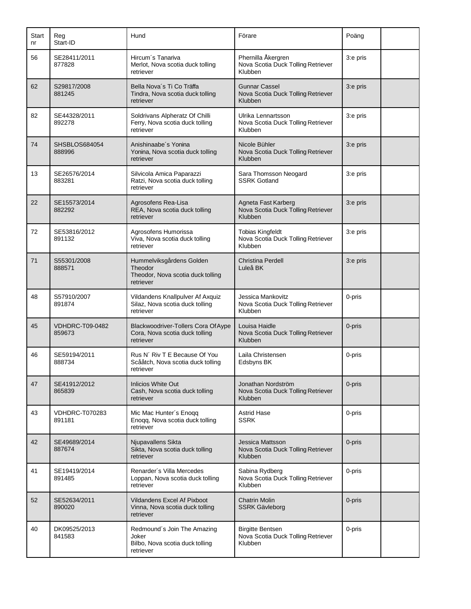| Start<br>nr | Reg<br>Start-ID                 | Hund                                                                                  | Förare                                                                   | Poäng    |  |
|-------------|---------------------------------|---------------------------------------------------------------------------------------|--------------------------------------------------------------------------|----------|--|
| 56          | SE28411/2011<br>877828          | Hircum's Tanariva<br>Merlot, Nova scotia duck tolling<br>retriever                    | Phernilla Åkergren<br>Nova Scotia Duck Tolling Retriever<br>Klubben      | 3:e pris |  |
| 62          | S29817/2008<br>881245           | Bella Nova's Ti Co Träffa<br>Tindra, Nova scotia duck tolling<br>retriever            | <b>Gunnar Cassel</b><br>Nova Scotia Duck Tolling Retriever<br>Klubben    | 3:e pris |  |
| 82          | SE44328/2011<br>892278          | Soldrivans Alpheratz Of Chilli<br>Ferry, Nova scotia duck tolling<br>retriever        | Ulrika Lennartsson<br>Nova Scotia Duck Tolling Retriever<br>Klubben      | 3:e pris |  |
| 74          | SHSBLOS684054<br>888996         | Anishinaabe's Yonina<br>Yonina, Nova scotia duck tolling<br>retriever                 | Nicole Bühler<br>Nova Scotia Duck Tolling Retriever<br>Klubben           | 3:e pris |  |
| 13          | SE26576/2014<br>883281          | Silvicola Amica Paparazzi<br>Ratzi, Nova scotia duck tolling<br>retriever             | Sara Thomsson Neogard<br><b>SSRK Gotland</b>                             | 3:e pris |  |
| 22          | SE15573/2014<br>882292          | Agrosofens Rea-Lisa<br>REA, Nova scotia duck tolling<br>retriever                     | Agneta Fast Karberg<br>Nova Scotia Duck Tolling Retriever<br>Klubben     | 3:e pris |  |
| 72          | SE53816/2012<br>891132          | Agrosofens Humorissa<br>Viva, Nova scotia duck tolling<br>retriever                   | <b>Tobias Kingfeldt</b><br>Nova Scotia Duck Tolling Retriever<br>Klubben | 3:e pris |  |
| 71          | S55301/2008<br>888571           | Hummelviksgårdens Golden<br>Theodor<br>Theodor, Nova scotia duck tolling<br>retriever | <b>Christina Perdell</b><br>Luleå BK                                     | 3:e pris |  |
| 48          | S57910/2007<br>891874           | Vildandens Knallpulver Af Axquiz<br>Silaz, Nova scotia duck tolling<br>retriever      | Jessica Mankovitz<br>Nova Scotia Duck Tolling Retriever<br>Klubben       | 0-pris   |  |
| 45          | VDHDRC-T09-0482<br>859673       | Blackwoodriver-Tollers Cora Of Aype<br>Cora, Nova scotia duck tolling<br>retriever    | Louisa Haidle<br>Nova Scotia Duck Tolling Retriever<br>Klubben           | 0-pris   |  |
| 46          | SE59194/2011<br>888734          | Rus N' Riv T E Because Of You<br>Scååtch, Nova scotia duck tolling<br>retriever       | Laila Christensen<br>Edsbyns BK                                          | 0-pris   |  |
| 47          | SE41912/2012<br>865839          | <b>Inlicios White Out</b><br>Cash, Nova scotia duck tolling<br>retriever              | Jonathan Nordström<br>Nova Scotia Duck Tolling Retriever<br>Klubben      | 0-pris   |  |
| 43          | <b>VDHDRC-T070283</b><br>891181 | Mic Mac Hunter's Enoqq<br>Enoqq, Nova scotia duck tolling<br>retriever                | <b>Astrid Hase</b><br><b>SSRK</b>                                        | 0-pris   |  |
| 42          | SE49689/2014<br>887674          | Njupavallens Sikta<br>Sikta, Nova scotia duck tolling<br>retriever                    | Jessica Mattsson<br>Nova Scotia Duck Tolling Retriever<br>Klubben        | 0-pris   |  |
| 41          | SE19419/2014<br>891485          | Renarder's Villa Mercedes<br>Loppan, Nova scotia duck tolling<br>retriever            | Sabina Rydberg<br>Nova Scotia Duck Tolling Retriever<br>Klubben          | 0-pris   |  |
| 52          | SE52634/2011<br>890020          | Vildandens Excel Af Pixboot<br>Vinna, Nova scotia duck tolling<br>retriever           | <b>Chatrin Molin</b><br><b>SSRK Gävleborg</b>                            | 0-pris   |  |
| 40          | DK09525/2013<br>841583          | Redmound's Join The Amazing<br>Joker<br>Bilbo, Nova scotia duck tolling<br>retriever  | <b>Birgitte Bentsen</b><br>Nova Scotia Duck Tolling Retriever<br>Klubben | 0-pris   |  |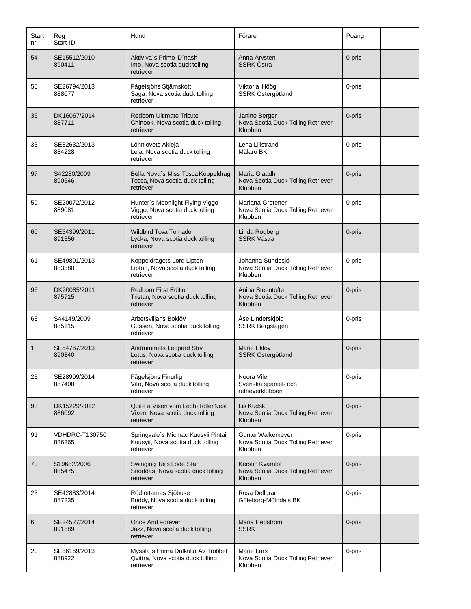| Start<br>nr  | Reg<br>Start-ID          | Hund                                                                                  | Förare                                                             | Poäng  |  |
|--------------|--------------------------|---------------------------------------------------------------------------------------|--------------------------------------------------------------------|--------|--|
| 54           | SE15512/2010<br>890411   | Aktiviva's Primo D'nash<br>Imo, Nova scotia duck tolling<br>retriever                 | Anna Arvsten<br><b>SSRK Östra</b>                                  | 0-pris |  |
| 55           | SE26794/2013<br>888077   | Fågelsjöns Stjärnskott<br>Saga, Nova scotia duck tolling<br>retriever                 | Viktoria Höög<br>SSRK Östergötland                                 | 0-pris |  |
| 36           | DK16067/2014<br>887711   | <b>Redborn Ultimate Tribute</b><br>Chinook, Nova scotia duck tolling<br>retriever     | Janine Berger<br>Nova Scotia Duck Tolling Retriever<br>Klubben     | 0-pris |  |
| 33           | SE32632/2013<br>884228   | Lönnlövets Akleja<br>Leja, Nova scotia duck tolling<br>retriever                      | Lena Lillstrand<br>Mälarö BK                                       | 0-pris |  |
| 97           | S42280/2009<br>890646    | Bella Nova's Miss Tosca Koppeldrag<br>Tosca, Nova scotia duck tolling<br>retriever    | Maria Glaadh<br>Nova Scotia Duck Tolling Retriever<br>Klubben      | 0-pris |  |
| 59           | SE20072/2012<br>889081   | Hunter's Moonlight Flying Viggo<br>Viggo, Nova scotia duck tolling<br>retriever       | Mariana Gretener<br>Nova Scotia Duck Tolling Retriever<br>Klubben  | 0-pris |  |
| 60           | SE54399/2011<br>891356   | Wildbird Tova Tornado<br>Lycka, Nova scotia duck tolling<br>retriever                 | Linda Rogberg<br><b>SSRK Västra</b>                                | 0-pris |  |
| 61           | SE49891/2013<br>883380   | Koppeldragets Lord Lipton<br>Lipton, Nova scotia duck tolling<br>retriever            | Johanna Sundesjö<br>Nova Scotia Duck Tolling Retriever<br>Klubben  | 0-pris |  |
| 96           | DK20085/2011<br>875715   | <b>Redborn First Edition</b><br>Tristan, Nova scotia duck tolling<br>retriever        | Anina Steentofte<br>Nova Scotia Duck Tolling Retriever<br>Klubben  | 0-pris |  |
| 63           | S44149/2009<br>885115    | Arbetsviljans Boklöv<br>Gussen, Nova scotia duck tolling<br>retriever                 | Åse Linderskjöld<br>SSRK Bergslagen                                | 0-pris |  |
| $\mathbf{1}$ | SE54767/2013<br>890840   | Andrummets Leopard Strv<br>Lotus, Nova scotia duck tolling<br>retriever               | Marie Eklöv<br>SSRK Östergötland                                   | 0-pris |  |
| 25           | SE28909/2014<br>887408   | Fågelsjöns Finurlig<br>Vito, Nova scotia duck tolling<br>retriever                    | Noora Vilen<br>Svenska spaniel- och<br>retrieverklubben            | 0-pris |  |
| 93           | DK15229/2012<br>886092   | Quite a Vixen vom Lech-Toller Nest<br>Vixen, Nova scotia duck tolling<br>retriever    | Lis Kudsk<br>Nova Scotia Duck Tolling Retriever<br>Klubben         | 0-pris |  |
| 91           | VDHDRC-T130750<br>886265 | Springvale's Micmac Kuusyii Pintail<br>Kuusyii, Nova scotia duck tolling<br>retriever | Gunter Walkemeyer<br>Nova Scotia Duck Tolling Retriever<br>Klubben | 0-pris |  |
| 70           | S19682/2006<br>885475    | Swinging Tails Lode Star<br>Snoddas, Nova scotia duck tolling<br>retriever            | Kerstin Kvarnlöf<br>Nova Scotia Duck Tolling Retriever<br>Klubben  | 0-pris |  |
| 23           | SE42883/2014<br>887235   | Rödtottarnas Sjöbuse<br>Buddy, Nova scotia duck tolling<br>retriever                  | Rosa Dellgran<br>Göteborg-Mölndals BK                              | 0-pris |  |
| 6            | SE24527/2014<br>891889   | Once And Forever<br>Jazz, Nova scotia duck tolling<br>retriever                       | Maria Hedström<br><b>SSRK</b>                                      | 0-pris |  |
| 20           | SE36169/2013<br>888922   | Mysslä's Prima Dalkulla Av Tröbbel<br>Qvittra, Nova scotia duck tolling<br>retriever  | Marie Lars<br>Nova Scotia Duck Tolling Retriever<br>Klubben        | 0-pris |  |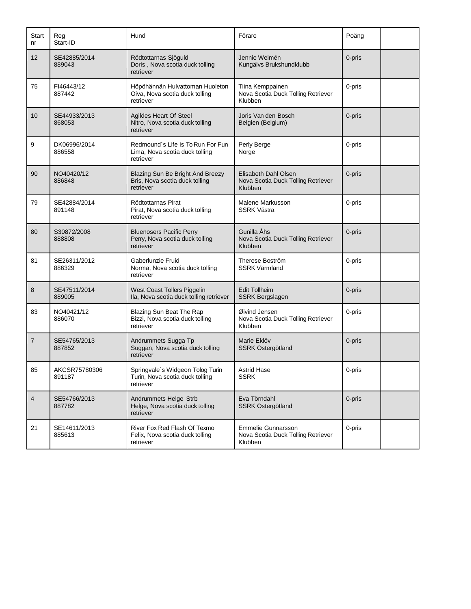| Start<br>nr | Reg<br>Start-ID         | Hund                                                                             | Förare                                                                | Poäng  |  |
|-------------|-------------------------|----------------------------------------------------------------------------------|-----------------------------------------------------------------------|--------|--|
| 12          | SE42885/2014<br>889043  | Rödtottarnas Sjöguld<br>Doris, Nova scotia duck tolling<br>retriever             | Jennie Weimén<br>Kungälvs Brukshundklubb                              | 0-pris |  |
| 75          | FI46443/12<br>887442    | Höpöhännän Hulvattoman Huoleton<br>Oiva, Nova scotia duck tolling<br>retriever   | Tiina Kemppainen<br>Nova Scotia Duck Tolling Retriever<br>Klubben     | 0-pris |  |
| 10          | SE44933/2013<br>868053  | Agildes Heart Of Steel<br>Nitro, Nova scotia duck tolling<br>retriever           | Joris Van den Bosch<br>Belgien (Belgium)                              | 0-pris |  |
| 9           | DK06996/2014<br>886558  | Redmound's Life Is To Run For Fun<br>Lima, Nova scotia duck tolling<br>retriever | Perly Berge<br>Norge                                                  | 0-pris |  |
| 90          | NO40420/12<br>886848    | Blazing Sun Be Bright And Breezy<br>Bris, Nova scotia duck tolling<br>retriever  | Elisabeth Dahl Olsen<br>Nova Scotia Duck Tolling Retriever<br>Klubben | 0-pris |  |
| 79          | SE42884/2014<br>891148  | Rödtottarnas Pirat<br>Pirat, Nova scotia duck tolling<br>retriever               | Malene Markusson<br><b>SSRK Västra</b>                                | 0-pris |  |
| 80          | S30872/2008<br>888808   | <b>Bluenosers Pacific Perry</b><br>Perry, Nova scotia duck tolling<br>retriever  | Gunilla Åhs<br>Nova Scotia Duck Tolling Retriever<br>Klubben          | 0-pris |  |
| 81          | SE26311/2012<br>886329  | Gaberlunzie Fruid<br>Norma, Nova scotia duck tolling<br>retriever                | Therese Boström<br><b>SSRK Värmland</b>                               | 0-pris |  |
| 8           | SE47511/2014<br>889005  | West Coast Tollers Piggelin<br>Ila, Nova scotia duck tolling retriever           | <b>Edit Tollheim</b><br><b>SSRK Bergslagen</b>                        | 0-pris |  |
| 83          | NO40421/12<br>886070    | Blazing Sun Beat The Rap<br>Bizzi, Nova scotia duck tolling<br>retriever         | Øivind Jensen<br>Nova Scotia Duck Tolling Retriever<br>Klubben        | 0-pris |  |
| 7           | SE54765/2013<br>887852  | Andrummets Sugga Tp<br>Suggan, Nova scotia duck tolling<br>retriever             | Marie Eklöv<br><b>SSRK Östergötland</b>                               | 0-pris |  |
| 85          | AKCSR75780306<br>891187 | Springvale's Widgeon Tolog Turin<br>Turin, Nova scotia duck tolling<br>retriever | Astrid Hase<br><b>SSRK</b>                                            | 0-pris |  |
| 4           | SE54766/2013<br>887782  | Andrummets Helge Strb<br>Helge, Nova scotia duck tolling<br>retriever            | Eva Törndahl<br>SSRK Östergötland                                     | 0-pris |  |
| 21          | SE14611/2013<br>885613  | River Fox Red Flash Of Texmo<br>Felix, Nova scotia duck tolling<br>retriever     | Emmelie Gunnarsson<br>Nova Scotia Duck Tolling Retriever<br>Klubben   | 0-pris |  |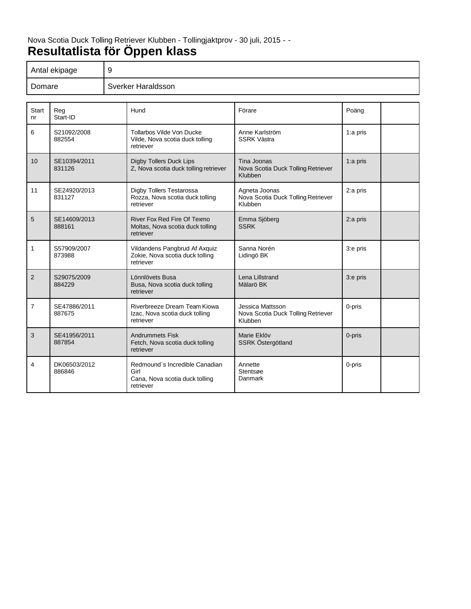## Nova Scotia Duck Tolling Retriever Klubben - Tollingjaktprov - 30 juli, 2015 - - **Resultatlista för Öppen klass**

|                | 9<br>Antal ekipage     |  |                                                                                       |                                                                   |            |  |
|----------------|------------------------|--|---------------------------------------------------------------------------------------|-------------------------------------------------------------------|------------|--|
| Domare         |                        |  | Sverker Haraldsson                                                                    |                                                                   |            |  |
|                |                        |  |                                                                                       |                                                                   |            |  |
| Start<br>nr    | Reg<br>Start-ID        |  | Hund                                                                                  | Förare                                                            | Poäng      |  |
| 6              | S21092/2008<br>882554  |  | Tollarbos Vilde Von Ducke<br>Vilde, Nova scotia duck tolling<br>retriever             | Anne Karlström<br><b>SSRK Västra</b>                              | 1:a pris   |  |
| 10             | SE10394/2011<br>831126 |  | <b>Digby Tollers Duck Lips</b><br>Z, Nova scotia duck tolling retriever               | Tina Joonas<br>Nova Scotia Duck Tolling Retriever<br>Klubben      | $1:a$ pris |  |
| 11             | SE24920/2013<br>831127 |  | Digby Tollers Testarossa<br>Rozza, Nova scotia duck tolling<br>retriever              | Agneta Joonas<br>Nova Scotia Duck Tolling Retriever<br>Klubben    | 2:a pris   |  |
| 5              | SE14609/2013<br>888161 |  | River Fox Red Fire Of Texmo<br>Moltas, Nova scotia duck tolling<br>retriever          | Emma Sjöberg<br><b>SSRK</b>                                       | 2:a pris   |  |
| 1              | S57909/2007<br>873988  |  | Vildandens Pangbrud Af Axquiz<br>Zokie, Nova scotia duck tolling<br>retriever         | Sanna Norén<br>Lidingö BK                                         | 3:e pris   |  |
| $\overline{2}$ | S29075/2009<br>884229  |  | Lönnlövets Busa<br>Busa, Nova scotia duck tolling<br>retriever                        | Lena Lillstrand<br>Mälarö BK                                      | 3:e pris   |  |
| 7              | SE47886/2011<br>887675 |  | Riverbreeze Dream Team Kiowa<br>Izac, Nova scotia duck tolling<br>retriever           | Jessica Mattsson<br>Nova Scotia Duck Tolling Retriever<br>Klubben | 0-pris     |  |
| 3              | SE41956/2011<br>887854 |  | <b>Andrummets Fisk</b><br>Fetch, Nova scotia duck tolling<br>retriever                | Marie Eklöv<br>SSRK Östergötland                                  | 0-pris     |  |
| 4              | DK06503/2012<br>886846 |  | Redmound's Incredible Canadian<br>Girl<br>Cana, Nova scotia duck tolling<br>retriever | Annette<br>Stentsøe<br>Danmark                                    | 0-pris     |  |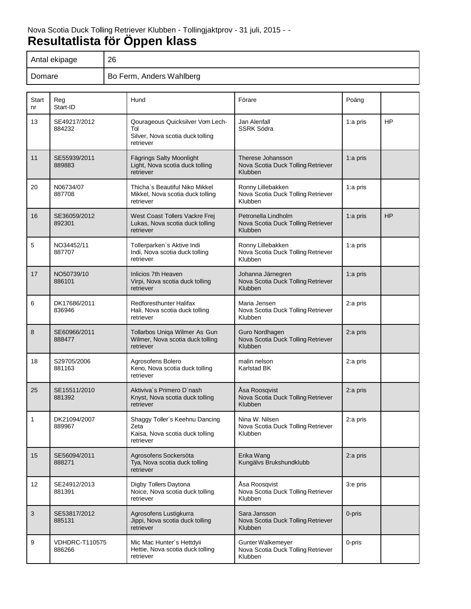| Antal ekipage | 26                       |
|---------------|--------------------------|
| Domare        | Bo Ferm, Anders Wahlberg |

| Start<br>nr | Reg<br>Start-ID                 | Hund                                                                                     | Förare                                                                | Poäng      |           |
|-------------|---------------------------------|------------------------------------------------------------------------------------------|-----------------------------------------------------------------------|------------|-----------|
| 13          | SE49217/2012<br>884232          | Qourageous Quicksilver Vom Lech-<br>Tol<br>Silver, Nova scotia duck tolling<br>retriever | Jan Alenfall<br><b>SSRK Södra</b>                                     | 1:a pris   | <b>HP</b> |
| 11          | SE55939/2011<br>889883          | Fägrings Salty Moonlight<br>Light, Nova scotia duck tolling<br>retriever                 | Therese Johansson<br>Nova Scotia Duck Tolling Retriever<br>Klubben    | 1:a pris   |           |
| 20          | N06734/07<br>887708             | Thicha's Beautiful Niko Mikkel<br>Mikkel, Nova scotia duck tolling<br>retriever          | Ronny Lillebakken<br>Nova Scotia Duck Tolling Retriever<br>Klubben    | 1:a pris   |           |
| 16          | SE36059/2012<br>892301          | West Coast Tollers Vackre Frej<br>Lukas, Nova scotia duck tolling<br>retriever           | Petronella Lindholm<br>Nova Scotia Duck Tolling Retriever<br>Klubben  | 1:a pris   | <b>HP</b> |
| 5           | NO34452/11<br>887707            | Tollerparken's Aktive Indi<br>Indi, Nova scotia duck tolling<br>retriever                | Ronny Lillebakken<br>Nova Scotia Duck Tolling Retriever<br>Klubben    | 1:a pris   |           |
| 17          | NO50739/10<br>886101            | Inlicios 7th Heaven<br>Virpi, Nova scotia duck tolling<br>retriever                      | Johanna Järnegren<br>Nova Scotia Duck Tolling Retriever<br>Klubben    | 1:a pris   |           |
| 6           | DK17686/2011<br>836946          | <b>Redforesthunter Halifax</b><br>Hali, Nova scotia duck tolling<br>retriever            | Maria Jensen<br>Nova Scotia Duck Tolling Retriever<br>Klubben         | 2:a pris   |           |
| 8           | SE60966/2011<br>888477          | Tollarbos Uniqa Wilmer As Gun<br>Wilmer, Nova scotia duck tolling<br>retriever           | Guro Nordhagen<br>Nova Scotia Duck Tolling Retriever<br>Klubben       | 2:a pris   |           |
| 18          | S29705/2006<br>881163           | Agrosofens Bolero<br>Keno, Nova scotia duck tolling<br>retriever                         | malin nelson<br>Karlstad BK                                           | 2:a pris   |           |
| 25          | SE15511/2010<br>881392          | Aktiviva's Primero D'nash<br>Knyst, Nova scotia duck tolling<br>retriever                | Åsa Roosqvist<br>Nova Scotia Duck Tolling Retriever<br>Klubben        | 2:a pris   |           |
| 1           | DK21094/2007<br>889967          | Shaggy Toller's Keehnu Dancing<br>Zeta<br>Kaisa, Nova scotia duck tolling<br>retriever   | Nina W. Nilsen<br>Nova Scotia Duck Tolling Retriever<br>Klubben       | 2:a pris   |           |
| 15          | SE56094/2011<br>888271          | Agrosofens Sockersöta<br>Tya, Nova scotia duck tolling<br>retriever                      | Erika Wang<br>Kungälvs Brukshundklubb                                 | $2:a$ pris |           |
| 12          | SE24912/2013<br>881391          | Digby Tollers Daytona<br>Noice, Nova scotia duck tolling<br>retriever                    | Åsa Roosqvist<br>Nova Scotia Duck Tolling Retriever<br><b>Klubben</b> | 3:e pris   |           |
| 3           | SE53817/2012<br>885131          | Agrosofens Lustigkurra<br>Jippi, Nova scotia duck tolling<br>retriever                   | Sara Jansson<br>Nova Scotia Duck Tolling Retriever<br>Klubben         | 0-pris     |           |
| 9           | <b>VDHDRC-T110575</b><br>886266 | Mic Mac Hunter's Hettdyii<br>Hettie, Nova scotia duck tolling<br>retriever               | Gunter Walkemeyer<br>Nova Scotia Duck Tolling Retriever<br>Klubben    | 0-pris     |           |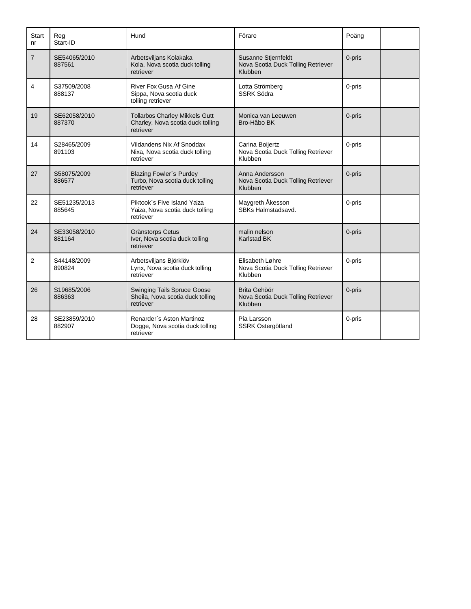| <b>Start</b><br>nr | Reg<br>Start-ID        | Hund                                                                                    | Förare                                                               | Poäng  |
|--------------------|------------------------|-----------------------------------------------------------------------------------------|----------------------------------------------------------------------|--------|
| $\overline{7}$     | SE54065/2010<br>887561 | Arbetsviljans Kolakaka<br>Kola, Nova scotia duck tolling<br>retriever                   | Susanne Stjernfeldt<br>Nova Scotia Duck Tolling Retriever<br>Klubben | 0-pris |
| 4                  | S37509/2008<br>888137  | <b>River Fox Gusa Af Gine</b><br>Sippa, Nova scotia duck<br>tolling retriever           | Lotta Strömberg<br><b>SSRK Södra</b>                                 | 0-pris |
| 19                 | SE62058/2010<br>887370 | <b>Tollarbos Charley Mikkels Gutt</b><br>Charley, Nova scotia duck tolling<br>retriever | Monica van Leeuwen<br>Bro-Håbo BK                                    | 0-pris |
| 14                 | S28465/2009<br>891103  | Vildandens Nix Af Snoddax<br>Nixa, Nova scotia duck tolling<br>retriever                | Carina Boijertz<br>Nova Scotia Duck Tolling Retriever<br>Klubben     | 0-pris |
| 27                 | S58075/2009<br>886577  | <b>Blazing Fowler's Purdey</b><br>Turbo, Nova scotia duck tolling<br>retriever          | Anna Andersson<br>Nova Scotia Duck Tolling Retriever<br>Klubben      | 0-pris |
| 22                 | SE51235/2013<br>885645 | Piktook's Five Island Yaiza<br>Yaiza, Nova scotia duck tolling<br>retriever             | Maygreth Åkesson<br>SBKs Halmstadsavd.                               | 0-pris |
| 24                 | SE33058/2010<br>881164 | <b>Gränstorps Cetus</b><br>Iver, Nova scotia duck tolling<br>retriever                  | malin nelson<br><b>Karlstad BK</b>                                   | 0-pris |
| $\overline{2}$     | S44148/2009<br>890824  | Arbetsviljans Björklöv<br>Lynx, Nova scotia duck tolling<br>retriever                   | Elisabeth Løhre<br>Nova Scotia Duck Tolling Retriever<br>Klubben     | 0-pris |
| 26                 | S19685/2006<br>886363  | <b>Swinging Tails Spruce Goose</b><br>Sheila, Nova scotia duck tolling<br>retriever     | Brita Gehöör<br>Nova Scotia Duck Tolling Retriever<br>Klubben        | 0-pris |
| 28                 | SE23859/2010<br>882907 | Renarder's Aston Martinoz<br>Dogge, Nova scotia duck tolling<br>retriever               | Pia Larsson<br>SSRK Östergötland                                     | 0-pris |